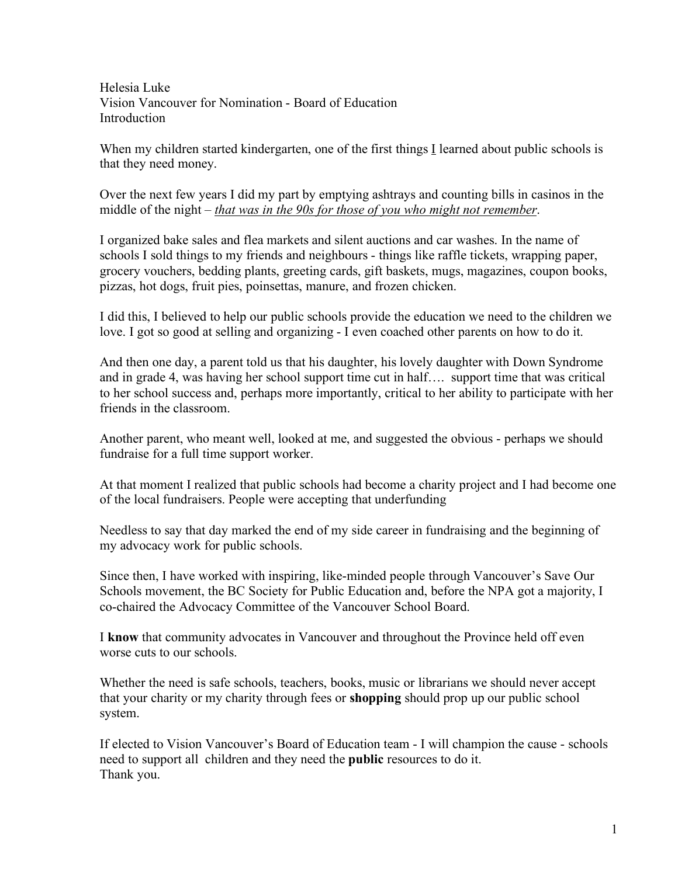Helesia Luke Vision Vancouver for Nomination - Board of Education **Introduction** 

When my children started kindergarten, one of the first things I learned about public schools is that they need money.

Over the next few years I did my part by emptying ashtrays and counting bills in casinos in the middle of the night – *that was in the 90s for those of you who might not remember*.

I organized bake sales and flea markets and silent auctions and car washes. In the name of schools I sold things to my friends and neighbours - things like raffle tickets, wrapping paper, grocery vouchers, bedding plants, greeting cards, gift baskets, mugs, magazines, coupon books, pizzas, hot dogs, fruit pies, poinsettas, manure, and frozen chicken.

I did this, I believed to help our public schools provide the education we need to the children we love. I got so good at selling and organizing - I even coached other parents on how to do it.

And then one day, a parent told us that his daughter, his lovely daughter with Down Syndrome and in grade 4, was having her school support time cut in half…. support time that was critical to her school success and, perhaps more importantly, critical to her ability to participate with her friends in the classroom.

Another parent, who meant well, looked at me, and suggested the obvious - perhaps we should fundraise for a full time support worker.

At that moment I realized that public schools had become a charity project and I had become one of the local fundraisers. People were accepting that underfunding

Needless to say that day marked the end of my side career in fundraising and the beginning of my advocacy work for public schools.

Since then, I have worked with inspiring, like-minded people through Vancouver's Save Our Schools movement, the BC Society for Public Education and, before the NPA got a majority, I co-chaired the Advocacy Committee of the Vancouver School Board.

I **know** that community advocates in Vancouver and throughout the Province held off even worse cuts to our schools.

Whether the need is safe schools, teachers, books, music or librarians we should never accept that your charity or my charity through fees or **shopping** should prop up our public school system.

If elected to Vision Vancouver's Board of Education team - I will champion the cause - schools need to support all children and they need the **public** resources to do it. Thank you.